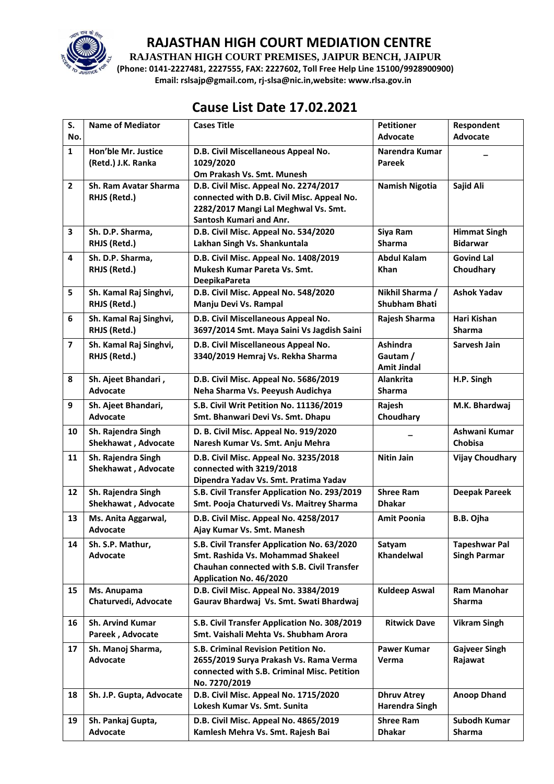

**RAJASTHAN HIGH COURT PREMISES, JAIPUR BENCH, JAIPUR**

**(Phone: 0141-2227481, 2227555, FAX: 2227602, Toll Free Help Line 15100/9928900900) Email: rslsajp@gmail.com, rj-slsa@nic.in,website: www.rlsa.gov.in**

# **Cause List Date 17.02.2021**

| S.                      | <b>Name of Mediator</b>                     | <b>Cases Title</b>                                                                    | <b>Petitioner</b>          | Respondent             |
|-------------------------|---------------------------------------------|---------------------------------------------------------------------------------------|----------------------------|------------------------|
| No.                     |                                             |                                                                                       | <b>Advocate</b>            | Advocate               |
| $\mathbf{1}$            | Hon'ble Mr. Justice                         | D.B. Civil Miscellaneous Appeal No.                                                   | Narendra Kumar             |                        |
|                         | (Retd.) J.K. Ranka                          | 1029/2020                                                                             | <b>Pareek</b>              |                        |
|                         | Sh. Ram Avatar Sharma                       | Om Prakash Vs. Smt. Munesh                                                            |                            |                        |
| $\overline{2}$          |                                             | D.B. Civil Misc. Appeal No. 2274/2017                                                 | <b>Namish Nigotia</b>      | Sajid Ali              |
|                         | RHJS (Retd.)                                | connected with D.B. Civil Misc. Appeal No.<br>2282/2017 Mangi Lal Meghwal Vs. Smt.    |                            |                        |
|                         |                                             | Santosh Kumari and Anr.                                                               |                            |                        |
| 3                       | Sh. D.P. Sharma,                            | D.B. Civil Misc. Appeal No. 534/2020                                                  | Siya Ram                   | <b>Himmat Singh</b>    |
|                         | RHJS (Retd.)                                | Lakhan Singh Vs. Shankuntala                                                          | <b>Sharma</b>              | <b>Bidarwar</b>        |
|                         |                                             |                                                                                       |                            | <b>Govind Lal</b>      |
| 4                       | Sh. D.P. Sharma,<br>RHJS (Retd.)            | D.B. Civil Misc. Appeal No. 1408/2019<br>Mukesh Kumar Pareta Vs. Smt.                 | <b>Abdul Kalam</b><br>Khan |                        |
|                         |                                             | <b>DeepikaPareta</b>                                                                  |                            | Choudhary              |
| 5                       | Sh. Kamal Raj Singhvi,                      | D.B. Civil Misc. Appeal No. 548/2020                                                  | Nikhil Sharma /            | <b>Ashok Yadav</b>     |
|                         | RHJS (Retd.)                                | Manju Devi Vs. Rampal                                                                 | <b>Shubham Bhati</b>       |                        |
|                         |                                             |                                                                                       |                            |                        |
| 6                       | Sh. Kamal Raj Singhvi,                      | D.B. Civil Miscellaneous Appeal No.                                                   | Rajesh Sharma              | Hari Kishan            |
|                         | RHJS (Retd.)                                | 3697/2014 Smt. Maya Saini Vs Jagdish Saini                                            |                            | <b>Sharma</b>          |
| $\overline{\mathbf{z}}$ | Sh. Kamal Raj Singhvi,                      | D.B. Civil Miscellaneous Appeal No.                                                   | <b>Ashindra</b>            | Sarvesh Jain           |
|                         | RHJS (Retd.)                                | 3340/2019 Hemraj Vs. Rekha Sharma                                                     | Gautam /                   |                        |
|                         |                                             |                                                                                       | <b>Amit Jindal</b>         |                        |
| 8                       | Sh. Ajeet Bhandari,                         | D.B. Civil Misc. Appeal No. 5686/2019                                                 | <b>Alankrita</b>           | H.P. Singh             |
|                         | Advocate                                    | Neha Sharma Vs. Peeyush Audichya                                                      | <b>Sharma</b>              |                        |
| 9                       | Sh. Ajeet Bhandari,                         | S.B. Civil Writ Petition No. 11136/2019                                               | Rajesh                     | M.K. Bhardwaj          |
|                         | Advocate                                    | Smt. Bhanwari Devi Vs. Smt. Dhapu                                                     | Choudhary                  |                        |
| 10                      | Sh. Rajendra Singh                          | D. B. Civil Misc. Appeal No. 919/2020                                                 |                            | Ashwani Kumar          |
|                         | Shekhawat, Advocate                         | Naresh Kumar Vs. Smt. Anju Mehra                                                      |                            | Chobisa                |
| 11                      | Sh. Rajendra Singh                          | D.B. Civil Misc. Appeal No. 3235/2018                                                 | <b>Nitin Jain</b>          | <b>Vijay Choudhary</b> |
|                         | Shekhawat, Advocate                         | connected with 3219/2018                                                              |                            |                        |
|                         |                                             | Dipendra Yadav Vs. Smt. Pratima Yadav                                                 |                            |                        |
| 12                      | Sh. Rajendra Singh                          | S.B. Civil Transfer Application No. 293/2019                                          | <b>Shree Ram</b>           | <b>Deepak Pareek</b>   |
|                         | Shekhawat, Advocate                         | Smt. Pooja Chaturvedi Vs. Maitrey Sharma                                              | <b>Dhakar</b>              |                        |
| 13                      | Ms. Anita Aggarwal,                         | D.B. Civil Misc. Appeal No. 4258/2017                                                 | <b>Amit Poonia</b>         | B.B. Ojha              |
|                         | <b>Advocate</b>                             | Ajay Kumar Vs. Smt. Manesh                                                            |                            |                        |
| 14                      | Sh. S.P. Mathur,                            | S.B. Civil Transfer Application No. 63/2020                                           | Satyam                     | <b>Tapeshwar Pal</b>   |
|                         | Advocate                                    | Smt. Rashida Vs. Mohammad Shakeel                                                     | Khandelwal                 | <b>Singh Parmar</b>    |
|                         |                                             | <b>Chauhan connected with S.B. Civil Transfer</b>                                     |                            |                        |
|                         |                                             | Application No. 46/2020                                                               |                            |                        |
| 15                      | Ms. Anupama                                 | D.B. Civil Misc. Appeal No. 3384/2019                                                 | <b>Kuldeep Aswal</b>       | <b>Ram Manohar</b>     |
|                         | Chaturvedi, Advocate                        | Gaurav Bhardwaj Vs. Smt. Swati Bhardwaj                                               |                            | <b>Sharma</b>          |
|                         |                                             |                                                                                       |                            |                        |
| 16                      | <b>Sh. Arvind Kumar</b><br>Pareek, Advocate | S.B. Civil Transfer Application No. 308/2019<br>Smt. Vaishali Mehta Vs. Shubham Arora | <b>Ritwick Dave</b>        | <b>Vikram Singh</b>    |
|                         |                                             |                                                                                       |                            |                        |
| 17                      | Sh. Manoj Sharma,                           | S.B. Criminal Revision Petition No.                                                   | <b>Pawer Kumar</b>         | <b>Gajveer Singh</b>   |
|                         | Advocate                                    | 2655/2019 Surya Prakash Vs. Rama Verma                                                | Verma                      | Rajawat                |
|                         |                                             | connected with S.B. Criminal Misc. Petition<br>No. 7270/2019                          |                            |                        |
| 18                      | Sh. J.P. Gupta, Advocate                    | D.B. Civil Misc. Appeal No. 1715/2020                                                 | <b>Dhruv Atrey</b>         | <b>Anoop Dhand</b>     |
|                         |                                             | Lokesh Kumar Vs. Smt. Sunita                                                          | <b>Harendra Singh</b>      |                        |
|                         |                                             |                                                                                       |                            |                        |
| 19                      | Sh. Pankaj Gupta,                           | D.B. Civil Misc. Appeal No. 4865/2019                                                 | <b>Shree Ram</b>           | Subodh Kumar           |
|                         | Advocate                                    | Kamlesh Mehra Vs. Smt. Rajesh Bai                                                     | <b>Dhakar</b>              | Sharma                 |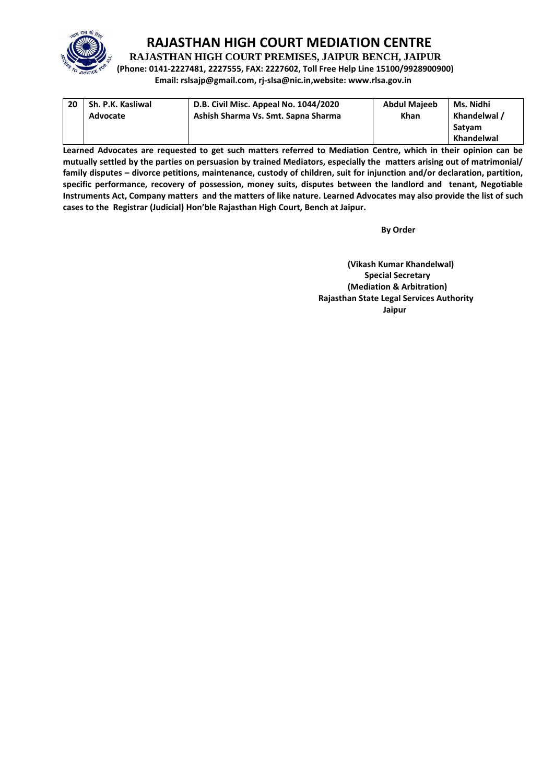

**RAJASTHAN HIGH COURT PREMISES, JAIPUR BENCH, JAIPUR**

**(Phone: 0141-2227481, 2227555, FAX: 2227602, Toll Free Help Line 15100/9928900900) Email: rslsajp@gmail.com, rj-slsa@nic.in,website: www.rlsa.gov.in**

| 20 | Sh. P.K. Kasliwal<br>Advocate | D.B. Civil Misc. Appeal No. 1044/2020<br>Ashish Sharma Vs. Smt. Sapna Sharma | <b>Abdul Majeeb</b><br>Khan | Ms. Nidhi<br>Khandelwal / |
|----|-------------------------------|------------------------------------------------------------------------------|-----------------------------|---------------------------|
|    |                               |                                                                              |                             | Satvam                    |
|    |                               |                                                                              |                             | Khandelwal                |

**Learned Advocates are requested to get such matters referred to Mediation Centre, which in their opinion can be mutually settled by the parties on persuasion by trained Mediators, especially the matters arising out of matrimonial/ family disputes – divorce petitions, maintenance, custody of children, suit for injunction and/or declaration, partition, specific performance, recovery of possession, money suits, disputes between the landlord and tenant, Negotiable Instruments Act, Company matters and the matters of like nature. Learned Advocates may also provide the list of such cases to the Registrar (Judicial) Hon'ble Rajasthan High Court, Bench at Jaipur.** 

**By Order** 

**(Vikash Kumar Khandelwal) Special Secretary (Mediation & Arbitration) Rajasthan State Legal Services Authority Jaipur**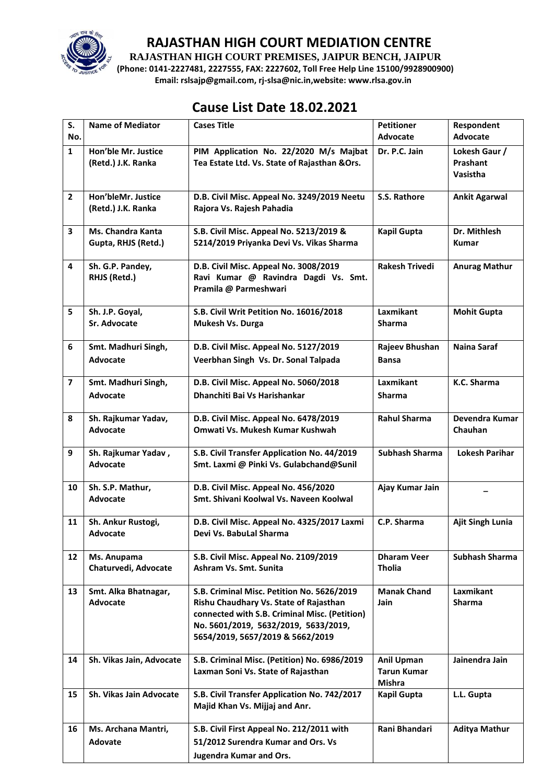

**RAJASTHAN HIGH COURT PREMISES, JAIPUR BENCH, JAIPUR**

**(Phone: 0141-2227481, 2227555, FAX: 2227602, Toll Free Help Line 15100/9928900900) Email: rslsajp@gmail.com, rj-slsa@nic.in,website: www.rlsa.gov.in**

## **Cause List Date 18.02.2021**

| S.                      | <b>Name of Mediator</b>  | <b>Cases Title</b>                                                   | <b>Petitioner</b>            | Respondent              |
|-------------------------|--------------------------|----------------------------------------------------------------------|------------------------------|-------------------------|
| No.                     |                          |                                                                      | Advocate                     | <b>Advocate</b>         |
| $\mathbf{1}$            | Hon'ble Mr. Justice      | PIM Application No. 22/2020 M/s Majbat                               | Dr. P.C. Jain                | Lokesh Gaur /           |
|                         | (Retd.) J.K. Ranka       | Tea Estate Ltd. Vs. State of Rajasthan & Ors.                        |                              | Prashant                |
|                         |                          |                                                                      |                              | Vasistha                |
| $\overline{2}$          | Hon'bleMr. Justice       | D.B. Civil Misc. Appeal No. 3249/2019 Neetu                          | S.S. Rathore                 | <b>Ankit Agarwal</b>    |
|                         | (Retd.) J.K. Ranka       | Rajora Vs. Rajesh Pahadia                                            |                              |                         |
|                         |                          |                                                                      |                              |                         |
| 3                       | <b>Ms. Chandra Kanta</b> | S.B. Civil Misc. Appeal No. 5213/2019 &                              | <b>Kapil Gupta</b>           | Dr. Mithlesh            |
|                         | Gupta, RHJS (Retd.)      | 5214/2019 Priyanka Devi Vs. Vikas Sharma                             |                              | <b>Kumar</b>            |
| 4                       | Sh. G.P. Pandey,         | D.B. Civil Misc. Appeal No. 3008/2019                                | <b>Rakesh Trivedi</b>        | <b>Anurag Mathur</b>    |
|                         | RHJS (Retd.)             | Ravi Kumar @ Ravindra Dagdi Vs. Smt.                                 |                              |                         |
|                         |                          | Pramila @ Parmeshwari                                                |                              |                         |
|                         |                          |                                                                      |                              |                         |
| 5                       | Sh. J.P. Goyal,          | S.B. Civil Writ Petition No. 16016/2018                              | Laxmikant                    | <b>Mohit Gupta</b>      |
|                         | Sr. Advocate             | Mukesh Vs. Durga                                                     | <b>Sharma</b>                |                         |
| 6                       | Smt. Madhuri Singh,      | D.B. Civil Misc. Appeal No. 5127/2019                                | Rajeev Bhushan               | Naina Saraf             |
|                         | Advocate                 | Veerbhan Singh Vs. Dr. Sonal Talpada                                 | <b>Bansa</b>                 |                         |
|                         |                          |                                                                      |                              |                         |
| $\overline{\mathbf{z}}$ | Smt. Madhuri Singh,      | D.B. Civil Misc. Appeal No. 5060/2018                                | Laxmikant                    | K.C. Sharma             |
|                         | Advocate                 | Dhanchiti Bai Vs Harishankar                                         | <b>Sharma</b>                |                         |
|                         |                          |                                                                      |                              |                         |
| 8                       | Sh. Rajkumar Yadav,      | D.B. Civil Misc. Appeal No. 6478/2019                                | <b>Rahul Sharma</b>          | Devendra Kumar          |
|                         | Advocate                 | Omwati Vs. Mukesh Kumar Kushwah                                      |                              | Chauhan                 |
| 9                       | Sh. Rajkumar Yadav,      | S.B. Civil Transfer Application No. 44/2019                          | <b>Subhash Sharma</b>        | <b>Lokesh Parihar</b>   |
|                         | <b>Advocate</b>          | Smt. Laxmi @ Pinki Vs. Gulabchand@Sunil                              |                              |                         |
|                         |                          |                                                                      |                              |                         |
| 10                      | Sh. S.P. Mathur,         | D.B. Civil Misc. Appeal No. 456/2020                                 | Ajay Kumar Jain              |                         |
|                         | <b>Advocate</b>          | Smt. Shivani Koolwal Vs. Naveen Koolwal                              |                              |                         |
| 11                      | Sh. Ankur Rustogi,       | D.B. Civil Misc. Appeal No. 4325/2017 Laxmi                          | C.P. Sharma                  | <b>Ajit Singh Lunia</b> |
|                         | <b>Advocate</b>          | Devi Vs. BabuLal Sharma                                              |                              |                         |
|                         |                          |                                                                      |                              |                         |
| 12                      | Ms. Anupama              | S.B. Civil Misc. Appeal No. 2109/2019                                | <b>Dharam Veer</b>           | Subhash Sharma          |
|                         | Chaturvedi, Advocate     | Ashram Vs. Smt. Sunita                                               | <b>Tholia</b>                |                         |
| 13                      | Smt. Alka Bhatnagar,     | S.B. Criminal Misc. Petition No. 5626/2019                           | <b>Manak Chand</b>           | Laxmikant               |
|                         | Advocate                 | Rishu Chaudhary Vs. State of Rajasthan                               | Jain                         | Sharma                  |
|                         |                          | connected with S.B. Criminal Misc. (Petition)                        |                              |                         |
|                         |                          | No. 5601/2019, 5632/2019, 5633/2019,                                 |                              |                         |
|                         |                          | 5654/2019, 5657/2019 & 5662/2019                                     |                              |                         |
|                         |                          |                                                                      |                              |                         |
| 14                      | Sh. Vikas Jain, Advocate | S.B. Criminal Misc. (Petition) No. 6986/2019                         | <b>Anil Upman</b>            | Jainendra Jain          |
|                         |                          |                                                                      |                              |                         |
|                         |                          | Laxman Soni Vs. State of Rajasthan                                   | <b>Tarun Kumar</b>           |                         |
| 15                      | Sh. Vikas Jain Advocate  | S.B. Civil Transfer Application No. 742/2017                         | Mishra<br><b>Kapil Gupta</b> | L.L. Gupta              |
|                         |                          | Majid Khan Vs. Mijjaj and Anr.                                       |                              |                         |
|                         |                          |                                                                      |                              |                         |
| 16                      | Ms. Archana Mantri,      | S.B. Civil First Appeal No. 212/2011 with                            | Rani Bhandari                | <b>Aditya Mathur</b>    |
|                         | Adovate                  | 51/2012 Surendra Kumar and Ors. Vs<br><b>Jugendra Kumar and Ors.</b> |                              |                         |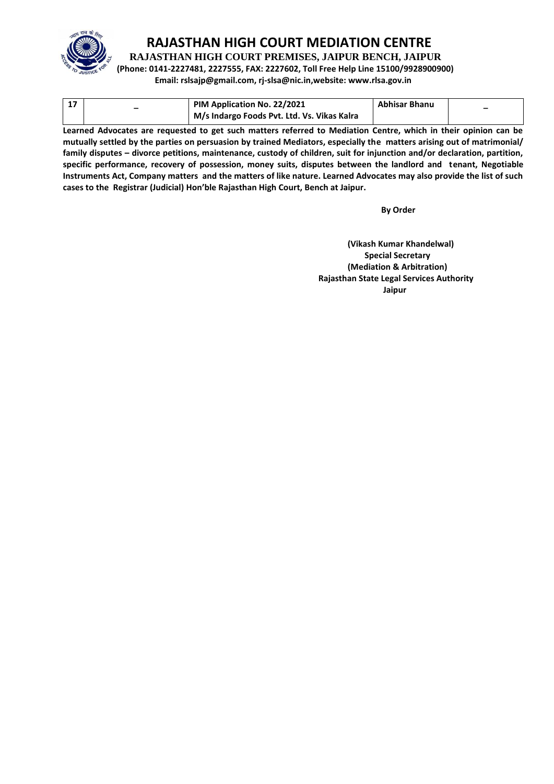

**RAJASTHAN HIGH COURT PREMISES, JAIPUR BENCH, JAIPUR**

**(Phone: 0141-2227481, 2227555, FAX: 2227602, Toll Free Help Line 15100/9928900900)**

**Email: rslsajp@gmail.com, rj-slsa@nic.in,website: www.rlsa.gov.in**

|  | PIM Application No. 22/2021                 | <b>Abhisar Bhanu</b> |  |
|--|---------------------------------------------|----------------------|--|
|  | M/s Indargo Foods Pvt. Ltd. Vs. Vikas Kalra |                      |  |

**Learned Advocates are requested to get such matters referred to Mediation Centre, which in their opinion can be mutually settled by the parties on persuasion by trained Mediators, especially the matters arising out of matrimonial/ family disputes – divorce petitions, maintenance, custody of children, suit for injunction and/or declaration, partition, specific performance, recovery of possession, money suits, disputes between the landlord and tenant, Negotiable Instruments Act, Company matters and the matters of like nature. Learned Advocates may also provide the list of such cases to the Registrar (Judicial) Hon'ble Rajasthan High Court, Bench at Jaipur.** 

**By Order** 

**(Vikash Kumar Khandelwal) Special Secretary (Mediation & Arbitration) Rajasthan State Legal Services Authority Jaipur**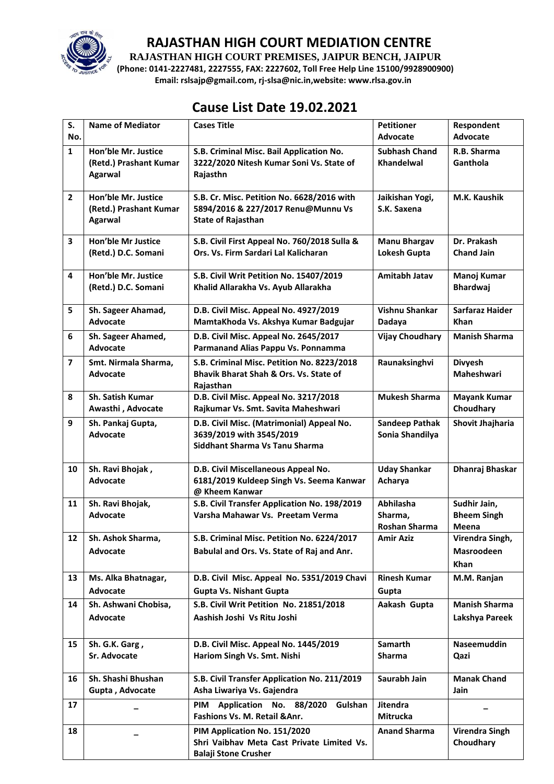

**RAJASTHAN HIGH COURT PREMISES, JAIPUR BENCH, JAIPUR**

**(Phone: 0141-2227481, 2227555, FAX: 2227602, Toll Free Help Line 15100/9928900900) Email: rslsajp@gmail.com, rj-slsa@nic.in,website: www.rlsa.gov.in**

## **Cause List Date 19.02.2021**

| S.<br>No.               | <b>Name of Mediator</b>                                         | <b>Cases Title</b>                                                                                            | <b>Petitioner</b><br><b>Advocate</b>         | Respondent<br>Advocate                       |
|-------------------------|-----------------------------------------------------------------|---------------------------------------------------------------------------------------------------------------|----------------------------------------------|----------------------------------------------|
| $\mathbf{1}$            | Hon'ble Mr. Justice<br>(Retd.) Prashant Kumar<br><b>Agarwal</b> | S.B. Criminal Misc. Bail Application No.<br>3222/2020 Nitesh Kumar Soni Vs. State of<br>Rajasthn              | <b>Subhash Chand</b><br><b>Khandelwal</b>    | R.B. Sharma<br>Ganthola                      |
| $\overline{2}$          | Hon'ble Mr. Justice<br>(Retd.) Prashant Kumar<br><b>Agarwal</b> | S.B. Cr. Misc. Petition No. 6628/2016 with<br>5894/2016 & 227/2017 Renu@Munnu Vs<br><b>State of Rajasthan</b> | Jaikishan Yogi,<br>S.K. Saxena               | M.K. Kaushik                                 |
| 3                       | Hon'ble Mr Justice<br>(Retd.) D.C. Somani                       | S.B. Civil First Appeal No. 760/2018 Sulla &<br>Ors. Vs. Firm Sardari Lal Kalicharan                          | <b>Manu Bhargav</b><br>Lokesh Gupta          | Dr. Prakash<br><b>Chand Jain</b>             |
| 4                       | Hon'ble Mr. Justice<br>(Retd.) D.C. Somani                      | S.B. Civil Writ Petition No. 15407/2019<br>Khalid Allarakha Vs. Ayub Allarakha                                | Amitabh Jatav                                | Manoj Kumar<br><b>Bhardwaj</b>               |
| 5                       | Sh. Sageer Ahamad,<br><b>Advocate</b>                           | D.B. Civil Misc. Appeal No. 4927/2019<br>MamtaKhoda Vs. Akshya Kumar Badgujar                                 | Vishnu Shankar<br>Dadaya                     | Sarfaraz Haider<br><b>Khan</b>               |
| 6                       | Sh. Sageer Ahamed,<br><b>Advocate</b>                           | D.B. Civil Misc. Appeal No. 2645/2017<br>Parmanand Alias Pappu Vs. Ponnamma                                   | <b>Vijay Choudhary</b>                       | <b>Manish Sharma</b>                         |
| $\overline{\mathbf{z}}$ | Smt. Nirmala Sharma,<br><b>Advocate</b>                         | S.B. Criminal Misc. Petition No. 8223/2018<br>Bhavik Bharat Shah & Ors. Vs. State of<br>Rajasthan             | Raunaksinghvi                                | <b>Divyesh</b><br>Maheshwari                 |
| 8                       | <b>Sh. Satish Kumar</b><br>Awasthi, Advocate                    | D.B. Civil Misc. Appeal No. 3217/2018<br>Rajkumar Vs. Smt. Savita Maheshwari                                  | <b>Mukesh Sharma</b>                         | <b>Mayank Kumar</b><br>Choudhary             |
| 9                       | Sh. Pankaj Gupta,<br><b>Advocate</b>                            | D.B. Civil Misc. (Matrimonial) Appeal No.<br>3639/2019 with 3545/2019<br>Siddhant Sharma Vs Tanu Sharma       | <b>Sandeep Pathak</b><br>Sonia Shandilya     | Shovit Jhajharia                             |
| 10                      | Sh. Ravi Bhojak,<br><b>Advocate</b>                             | D.B. Civil Miscellaneous Appeal No.<br>6181/2019 Kuldeep Singh Vs. Seema Kanwar<br>@ Kheem Kanwar             | <b>Uday Shankar</b><br>Acharya               | Dhanraj Bhaskar                              |
| 11                      | Sh. Ravi Bhojak,<br><b>Advocate</b>                             | S.B. Civil Transfer Application No. 198/2019<br>Varsha Mahawar Vs. Preetam Verma                              | Abhilasha<br>Sharma,<br><b>Roshan Sharma</b> | Sudhir Jain,<br><b>Bheem Singh</b><br>Meena  |
| 12                      | Sh. Ashok Sharma,<br><b>Advocate</b>                            | S.B. Criminal Misc. Petition No. 6224/2017<br>Babulal and Ors. Vs. State of Raj and Anr.                      | <b>Amir Aziz</b>                             | Virendra Singh,<br>Masroodeen<br><b>Khan</b> |
| 13                      | Ms. Alka Bhatnagar,<br>Advocate                                 | D.B. Civil Misc. Appeal No. 5351/2019 Chavi<br><b>Gupta Vs. Nishant Gupta</b>                                 | <b>Rinesh Kumar</b><br>Gupta                 | M.M. Ranjan                                  |
| 14                      | Sh. Ashwani Chobisa,<br><b>Advocate</b>                         | S.B. Civil Writ Petition No. 21851/2018<br>Aashish Joshi Vs Ritu Joshi                                        | Aakash Gupta                                 | <b>Manish Sharma</b><br>Lakshya Pareek       |
| 15                      | Sh. G.K. Garg,<br>Sr. Advocate                                  | D.B. Civil Misc. Appeal No. 1445/2019<br>Hariom Singh Vs. Smt. Nishi                                          | Samarth<br><b>Sharma</b>                     | Naseemuddin<br>Qazi                          |
| 16                      | Sh. Shashi Bhushan<br>Gupta, Advocate                           | S.B. Civil Transfer Application No. 211/2019<br>Asha Liwariya Vs. Gajendra                                    | Saurabh Jain                                 | <b>Manak Chand</b><br>Jain                   |
| 17                      |                                                                 | Application No. 88/2020<br><b>PIM</b><br>Gulshan<br>Fashions Vs. M. Retail & Anr.                             | <b>Jitendra</b><br><b>Mitrucka</b>           |                                              |
| 18                      |                                                                 | PIM Application No. 151/2020<br>Shri Vaibhav Meta Cast Private Limited Vs.<br><b>Balaji Stone Crusher</b>     | <b>Anand Sharma</b>                          | <b>Virendra Singh</b><br>Choudhary           |